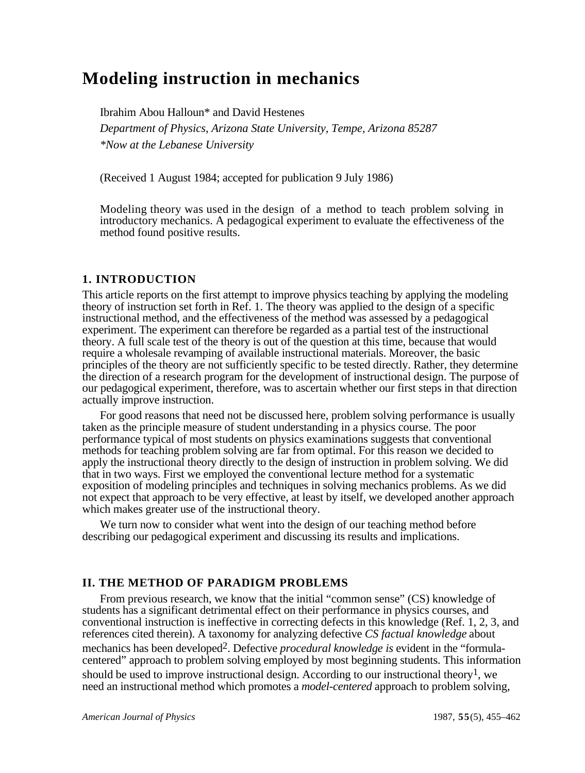# **Modeling instruction in mechanics**

Ibrahim Abou Halloun\* and David Hestenes *Department of Physics, Arizona State University, Tempe, Arizona 85287 \*Now at the Lebanese University*

(Received 1 August 1984; accepted for publication 9 July 1986)

Modeling theory was used in the design of a method to teach problem solving in introductory mechanics. A pedagogical experiment to evaluate the effectiveness of the method found positive results.

# **1. INTRODUCTION**

This article reports on the first attempt to improve physics teaching by applying the modeling theory of instruction set forth in Ref. 1. The theory was applied to the design of a specific instructional method, and the effectiveness of the method was assessed by a pedagogical experiment. The experiment can therefore be regarded as a partial test of the instructional theory. A full scale test of the theory is out of the question at this time, because that would require a wholesale revamping of available instructional materials. Moreover, the basic principles of the theory are not sufficiently specific to be tested directly. Rather, they determine the direction of a research program for the development of instructional design. The purpose of our pedagogical experiment, therefore, was to ascertain whether our first steps in that direction actually improve instruction.

For good reasons that need not be discussed here, problem solving performance is usually taken as the principle measure of student understanding in a physics course. The poor performance typical of most students on physics examinations suggests that conventional methods for teaching problem solving are far from optimal. For this reason we decided to apply the instructional theory directly to the design of instruction in problem solving. We did that in two ways. First we employed the conventional lecture method for a systematic exposition of modeling principles and techniques in solving mechanics problems. As we did not expect that approach to be very effective, at least by itself, we developed another approach which makes greater use of the instructional theory.

We turn now to consider what went into the design of our teaching method before describing our pedagogical experiment and discussing its results and implications.

# **II. THE METHOD OF PARADIGM PROBLEMS**

From previous research, we know that the initial "common sense" (CS) knowledge of students has a significant detrimental effect on their performance in physics courses, and conventional instruction is ineffective in correcting defects in this knowledge (Ref. 1, 2, 3, and references cited therein). A taxonomy for analyzing defective *CS factual knowledge* about mechanics has been developed2. Defective *procedural knowledge is* evident in the "formulacentered" approach to problem solving employed by most beginning students. This information should be used to improve instructional design. According to our instructional theory<sup>1</sup>, we need an instructional method which promotes a *model-centered* approach to problem solving,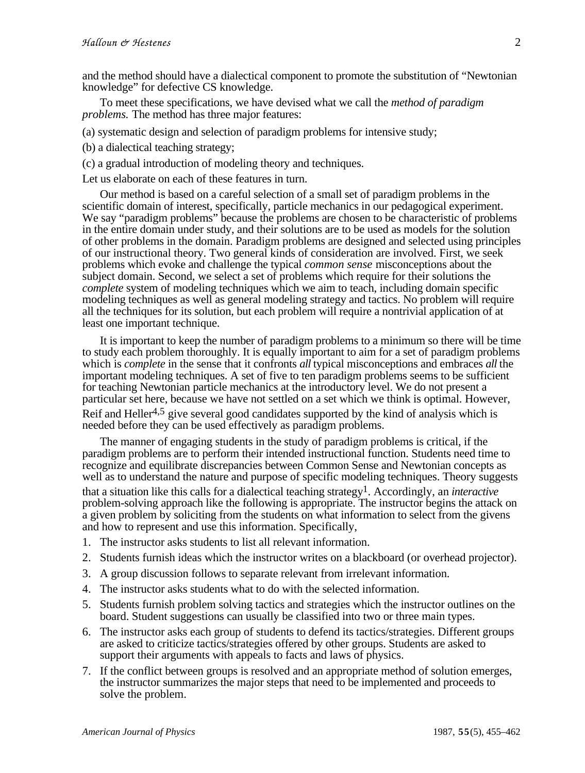and the method should have a dialectical component to promote the substitution of "Newtonian knowledge" for defective CS knowledge.

To meet these specifications, we have devised what we call the *method of paradigm problems.* The method has three major features:

(a) systematic design and selection of paradigm problems for intensive study;

(b) a dialectical teaching strategy;

(c) a gradual introduction of modeling theory and techniques.

Let us elaborate on each of these features in turn.

Our method is based on a careful selection of a small set of paradigm problems in the scientific domain of interest, specifically, particle mechanics in our pedagogical experiment. We say "paradigm problems" because the problems are chosen to be characteristic of problems in the entire domain under study, and their solutions are to be used as models for the solution of other problems in the domain. Paradigm problems are designed and selected using principles of our instructional theory. Two general kinds of consideration are involved. First, we seek problems which evoke and challenge the typical *common sense* misconceptions about the subject domain. Second, we select a set of problems which require for their solutions the *complete* system of modeling techniques which we aim to teach, including domain specific modeling techniques as well as general modeling strategy and tactics. No problem will require all the techniques for its solution, but each problem will require a nontrivial application of at least one important technique.

It is important to keep the number of paradigm problems to a minimum so there will be time to study each problem thoroughly. It is equally important to aim for a set of paradigm problems which is *complete* in the sense that it confronts *all* typical misconceptions and embraces *all* the important modeling techniques. A set of five to ten paradigm problems seems to be sufficient for teaching Newtonian particle mechanics at the introductory level. We do not present a particular set here, because we have not settled on a set which we think is optimal. However, Reif and Heller<sup>4,5</sup> give several good candidates supported by the kind of analysis which is needed before they can be used effectively as paradigm problems.

The manner of engaging students in the study of paradigm problems is critical, if the paradigm problems are to perform their intended instructional function. Students need time to recognize and equilibrate discrepancies between Common Sense and Newtonian concepts as well as to understand the nature and purpose of specific modeling techniques. Theory suggests that a situation like this calls for a dialectical teaching strategy1. Accordingly, an *interactive* problem-solving approach like the following is appropriate. The instructor begins the attack on a given problem by soliciting from the students on what information to select from the givens and how to represent and use this information. Specifically,

- 1. The instructor asks students to list all relevant information.
- 2. Students furnish ideas which the instructor writes on a blackboard (or overhead projector).
- 3. A group discussion follows to separate relevant from irrelevant information.
- 4. The instructor asks students what to do with the selected information.
- 5. Students furnish problem solving tactics and strategies which the instructor outlines on the board. Student suggestions can usually be classified into two or three main types.
- 6. The instructor asks each group of students to defend its tactics/strategies. Different groups are asked to criticize tactics/strategies offered by other groups. Students are asked to support their arguments with appeals to facts and laws of physics.
- 7. If the conflict between groups is resolved and an appropriate method of solution emerges, the instructor summarizes the major steps that need to be implemented and proceeds to solve the problem.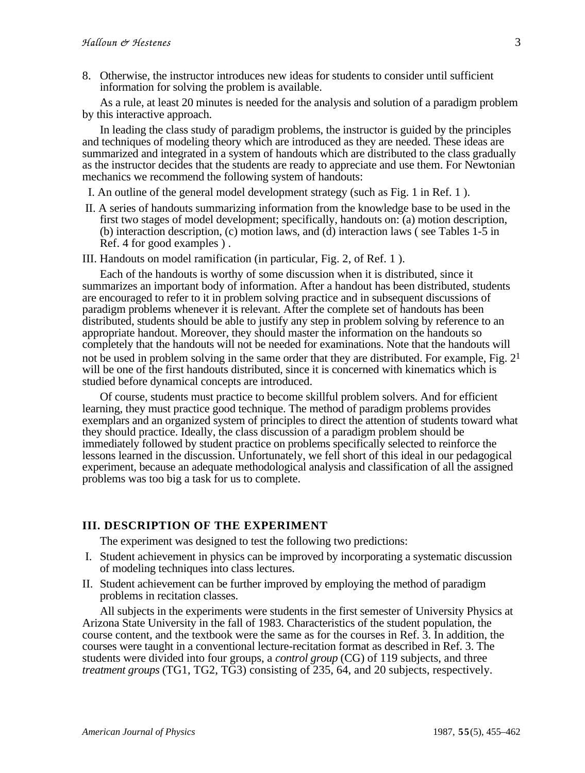8. Otherwise, the instructor introduces new ideas for students to consider until sufficient information for solving the problem is available.

As a rule, at least 20 minutes is needed for the analysis and solution of a paradigm problem by this interactive approach.

In leading the class study of paradigm problems, the instructor is guided by the principles and techniques of modeling theory which are introduced as they are needed. These ideas are summarized and integrated in a system of handouts which are distributed to the class gradually as the instructor decides that the students are ready to appreciate and use them. For Newtonian mechanics we recommend the following system of handouts:

I. An outline of the general model development strategy (such as Fig. 1 in Ref. 1 ).

 II. A series of handouts summarizing information from the knowledge base to be used in the first two stages of model development; specifically, handouts on: (a) motion description, (b) interaction description, (c) motion laws, and (d) interaction laws ( see Tables 1-5 in Ref. 4 for good examples ) .

III. Handouts on model ramification (in particular, Fig. 2, of Ref. 1 ).

Each of the handouts is worthy of some discussion when it is distributed, since it summarizes an important body of information. After a handout has been distributed, students are encouraged to refer to it in problem solving practice and in subsequent discussions of paradigm problems whenever it is relevant. After the complete set of handouts has been distributed, students should be able to justify any step in problem solving by reference to an appropriate handout. Moreover, they should master the information on the handouts so completely that the handouts will not be needed for examinations. Note that the handouts will not be used in problem solving in the same order that they are distributed. For example, Fig.  $2<sup>1</sup>$ will be one of the first handouts distributed, since it is concerned with kinematics which is studied before dynamical concepts are introduced.

Of course, students must practice to become skillful problem solvers. And for efficient learning, they must practice good technique. The method of paradigm problems provides exemplars and an organized system of principles to direct the attention of students toward what they should practice. Ideally, the class discussion of a paradigm problem should be immediately followed by student practice on problems specifically selected to reinforce the lessons learned in the discussion. Unfortunately, we fell short of this ideal in our pedagogical experiment, because an adequate methodological analysis and classification of all the assigned problems was too big a task for us to complete.

# **III. DESCRIPTION OF THE EXPERIMENT**

The experiment was designed to test the following two predictions:

- I. Student achievement in physics can be improved by incorporating a systematic discussion of modeling techniques into class lectures.
- II. Student achievement can be further improved by employing the method of paradigm problems in recitation classes.

All subjects in the experiments were students in the first semester of University Physics at Arizona State University in the fall of 1983. Characteristics of the student population, the course content, and the textbook were the same as for the courses in Ref. 3. In addition, the courses were taught in a conventional lecture-recitation format as described in Ref. 3. The students were divided into four groups, a *control group* (CG) of 119 subjects, and three *treatment groups* (TG1, TG2, TG3) consisting of 235, 64, and 20 subjects, respectively.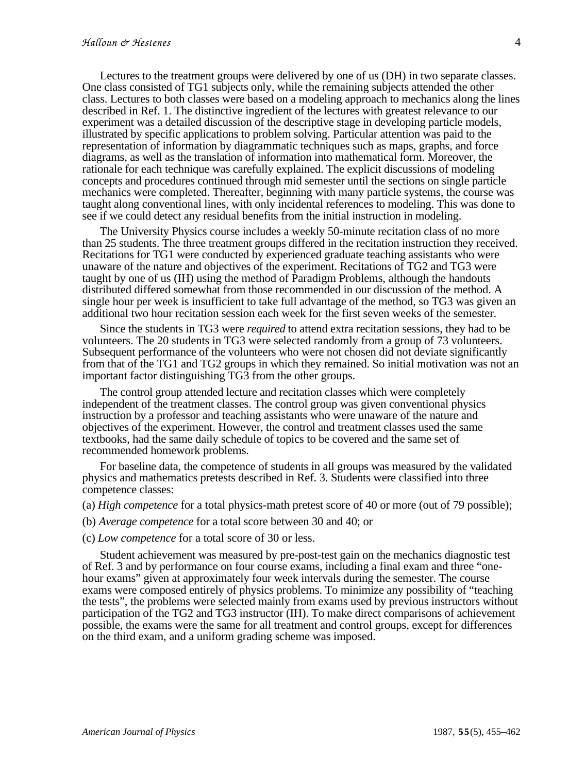Lectures to the treatment groups were delivered by one of us (DH) in two separate classes. One class consisted of TG1 subjects only, while the remaining subjects attended the other class. Lectures to both classes were based on a modeling approach to mechanics along the lines described in Ref. 1. The distinctive ingredient of the lectures with greatest relevance to our experiment was a detailed discussion of the descriptive stage in developing particle models, illustrated by specific applications to problem solving. Particular attention was paid to the representation of information by diagrammatic techniques such as maps, graphs, and force diagrams, as well as the translation of information into mathematical form. Moreover, the rationale for each technique was carefully explained. The explicit discussions of modeling concepts and procedures continued through mid semester until the sections on single particle mechanics were completed. Thereafter, beginning with many particle systems, the course was taught along conventional lines, with only incidental references to modeling. This was done to see if we could detect any residual benefits from the initial instruction in modeling.

The University Physics course includes a weekly 50-minute recitation class of no more than 25 students. The three treatment groups differed in the recitation instruction they received. Recitations for TG1 were conducted by experienced graduate teaching assistants who were unaware of the nature and objectives of the experiment. Recitations of TG2 and TG3 were taught by one of us (IH) using the method of Paradigm Problems, although the handouts distributed differed somewhat from those recommended in our discussion of the method. A single hour per week is insufficient to take full advantage of the method, so TG3 was given an additional two hour recitation session each week for the first seven weeks of the semester.

Since the students in TG3 were *required* to attend extra recitation sessions, they had to be volunteers. The 20 students in TG3 were selected randomly from a group of 73 volunteers. Subsequent performance of the volunteers who were not chosen did not deviate significantly from that of the TG1 and TG2 groups in which they remained. So initial motivation was not an important factor distinguishing TG3 from the other groups.

The control group attended lecture and recitation classes which were completely independent of the treatment classes. The control group was given conventional physics instruction by a professor and teaching assistants who were unaware of the nature and objectives of the experiment. However, the control and treatment classes used the same textbooks, had the same daily schedule of topics to be covered and the same set of recommended homework problems.

For baseline data, the competence of students in all groups was measured by the validated physics and mathematics pretests described in Ref. 3. Students were classified into three competence classes:

- (a) *High competence* for a total physics-math pretest score of 40 or more (out of 79 possible);
- (b) *Average competence* for a total score between 30 and 40; or
- (c) *Low competence* for a total score of 30 or less.

Student achievement was measured by pre-post-test gain on the mechanics diagnostic test of Ref. 3 and by performance on four course exams, including a final exam and three "onehour exams" given at approximately four week intervals during the semester. The course exams were composed entirely of physics problems. To minimize any possibility of "teaching the tests", the problems were selected mainly from exams used by previous instructors without participation of the TG2 and TG3 instructor (IH). To make direct comparisons of achievement possible, the exams were the same for all treatment and control groups, except for differences on the third exam, and a uniform grading scheme was imposed.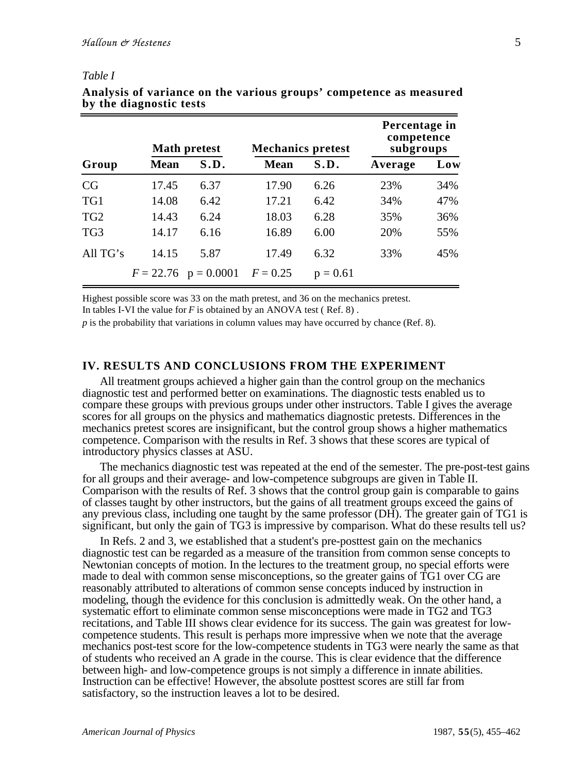#### *Table I*

|                 | <b>Math pretest</b> |                        | <b>Mechanics pretest</b> |            | Percentage in<br>competence<br>subgroups |     |  |
|-----------------|---------------------|------------------------|--------------------------|------------|------------------------------------------|-----|--|
| Group           | <b>Mean</b>         | S.D.                   | <b>Mean</b>              | S.D.       | Average                                  | Low |  |
| CG              | 17.45               | 6.37                   | 17.90                    | 6.26       | 23%                                      | 34% |  |
| TG1             | 14.08               | 6.42                   | 17.21                    | 6.42       | 34%                                      | 47% |  |
| TG <sub>2</sub> | 14.43               | 6.24                   | 18.03                    | 6.28       | 35%                                      | 36% |  |
| TG3             | 14.17               | 6.16                   | 16.89                    | 6.00       | 20%                                      | 55% |  |
| All $TG's$      | 14.15               | 5.87                   | 17.49                    | 6.32       | 33%                                      | 45% |  |
|                 |                     | $F = 22.76$ p = 0.0001 | $F = 0.25$               | $p = 0.61$ |                                          |     |  |

## **Analysis of variance on the various groups' competence as measured by the diagnostic tests**

Highest possible score was 33 on the math pretest, and 36 on the mechanics pretest.

In tables I-VI the value for *F* is obtained by an ANOVA test ( Ref. 8) .

*p* is the probability that variations in column values may have occurred by chance (Ref. 8).

## **IV. RESULTS AND CONCLUSIONS FROM THE EXPERIMENT**

All treatment groups achieved a higher gain than the control group on the mechanics diagnostic test and performed better on examinations. The diagnostic tests enabled us to compare these groups with previous groups under other instructors. Table I gives the average scores for all groups on the physics and mathematics diagnostic pretests. Differences in the mechanics pretest scores are insignificant, but the control group shows a higher mathematics competence. Comparison with the results in Ref. 3 shows that these scores are typical of introductory physics classes at ASU.

The mechanics diagnostic test was repeated at the end of the semester. The pre-post-test gains for all groups and their average- and low-competence subgroups are given in Table II. Comparison with the results of Ref. 3 shows that the control group gain is comparable to gains of classes taught by other instructors, but the gains of all treatment groups exceed the gains of any previous class, including one taught by the same professor (DH). The greater gain of TG1 is significant, but only the gain of TG3 is impressive by comparison. What do these results tell us?

In Refs. 2 and 3, we established that a student's pre-posttest gain on the mechanics diagnostic test can be regarded as a measure of the transition from common sense concepts to Newtonian concepts of motion. In the lectures to the treatment group, no special efforts were made to deal with common sense misconceptions, so the greater gains of TG1 over CG are reasonably attributed to alterations of common sense concepts induced by instruction in modeling, though the evidence for this conclusion is admittedly weak. On the other hand, a systematic effort to eliminate common sense misconceptions were made in TG2 and TG3 recitations, and Table III shows clear evidence for its success. The gain was greatest for lowcompetence students. This result is perhaps more impressive when we note that the average mechanics post-test score for the low-competence students in TG3 were nearly the same as that of students who received an A grade in the course. This is clear evidence that the difference between high- and low-competence groups is not simply a difference in innate abilities. Instruction can be effective! However, the absolute posttest scores are still far from satisfactory, so the instruction leaves a lot to be desired.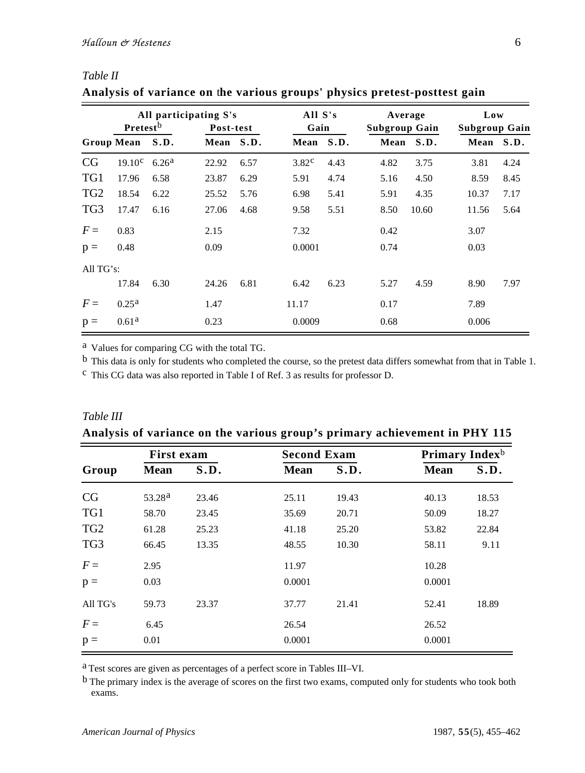*Table II*

*Table III*

|                 | All participating S's<br>Pretestb |                   |           | Post-test |                   | All S's<br>Gain |      | Average<br>Subgroup Gain |       | Low<br><b>Subgroup Gain</b> |  |
|-----------------|-----------------------------------|-------------------|-----------|-----------|-------------------|-----------------|------|--------------------------|-------|-----------------------------|--|
|                 | Group Mean S.D.                   |                   | Mean S.D. |           | Mean S.D.         |                 |      | Mean S.D.                |       | Mean S.D.                   |  |
| CG              | 19.10 <sup>c</sup>                | 6.26 <sup>a</sup> | 22.92     | 6.57      | 3.82 <sup>c</sup> | 4.43            | 4.82 | 3.75                     | 3.81  | 4.24                        |  |
| TG1             | 17.96                             | 6.58              | 23.87     | 6.29      | 5.91              | 4.74            | 5.16 | 4.50                     | 8.59  | 8.45                        |  |
| TG <sub>2</sub> | 18.54                             | 6.22              | 25.52     | 5.76      | 6.98              | 5.41            | 5.91 | 4.35                     | 10.37 | 7.17                        |  |
| TG3             | 17.47                             | 6.16              | 27.06     | 4.68      | 9.58              | 5.51            | 8.50 | 10.60                    | 11.56 | 5.64                        |  |
| $F =$           | 0.83                              |                   | 2.15      |           | 7.32              |                 | 0.42 |                          | 3.07  |                             |  |
| $p =$           | 0.48                              |                   | 0.09      |           | 0.0001            |                 | 0.74 |                          | 0.03  |                             |  |
| All $TG's$ :    |                                   |                   |           |           |                   |                 |      |                          |       |                             |  |
|                 | 17.84                             | 6.30              | 24.26     | 6.81      | 6.42              | 6.23            | 5.27 | 4.59                     | 8.90  | 7.97                        |  |
| $F =$           | 0.25 <sup>a</sup>                 |                   | 1.47      |           | 11.17             |                 | 0.17 |                          | 7.89  |                             |  |
| $p =$           | 0.61 <sup>a</sup>                 |                   | 0.23      |           | 0.0009            |                 | 0.68 |                          | 0.006 |                             |  |

**Analysis of variance on** t**he various groups' physics pretest-posttest gain**

a Values for comparing CG with the total TG.

b This data is only for students who completed the course, so the pretest data differs somewhat from that in Table 1.

c This CG data was also reported in Table I of Ref. 3 as results for professor D.

|                 | $B - 1 - 1$        |       |                    |       |                            |       |  |  |  |  |
|-----------------|--------------------|-------|--------------------|-------|----------------------------|-------|--|--|--|--|
|                 | <b>First exam</b>  |       | <b>Second Exam</b> |       | Primary Index <sup>b</sup> |       |  |  |  |  |
| Group           | <b>Mean</b>        | S.D.  | <b>Mean</b>        | S.D.  | <b>Mean</b>                | S.D.  |  |  |  |  |
| CG              | 53.28 <sup>a</sup> | 23.46 | 25.11              | 19.43 | 40.13                      | 18.53 |  |  |  |  |
| TG1             | 58.70              | 23.45 | 35.69              | 20.71 | 50.09                      | 18.27 |  |  |  |  |
| TG <sub>2</sub> | 61.28              | 25.23 | 41.18              | 25.20 | 53.82                      | 22.84 |  |  |  |  |
| TG <sub>3</sub> | 66.45              | 13.35 | 48.55              | 10.30 | 58.11                      | 9.11  |  |  |  |  |
| $F =$           | 2.95               |       | 11.97              |       | 10.28                      |       |  |  |  |  |
| $p =$           | 0.03               |       | 0.0001             |       | 0.0001                     |       |  |  |  |  |
| All TG's        | 59.73              | 23.37 | 37.77              | 21.41 | 52.41                      | 18.89 |  |  |  |  |
| $F =$           | 6.45               |       | 26.54              |       | 26.52                      |       |  |  |  |  |
| $p =$           | 0.01               |       | 0.0001             |       | 0.0001                     |       |  |  |  |  |

**Analysis of variance on the various group's primary achievement in PHY 115**

a Test scores are given as percentages of a perfect score in Tables III–VI.

b The primary index is the average of scores on the first two exams, computed only for students who took both exams.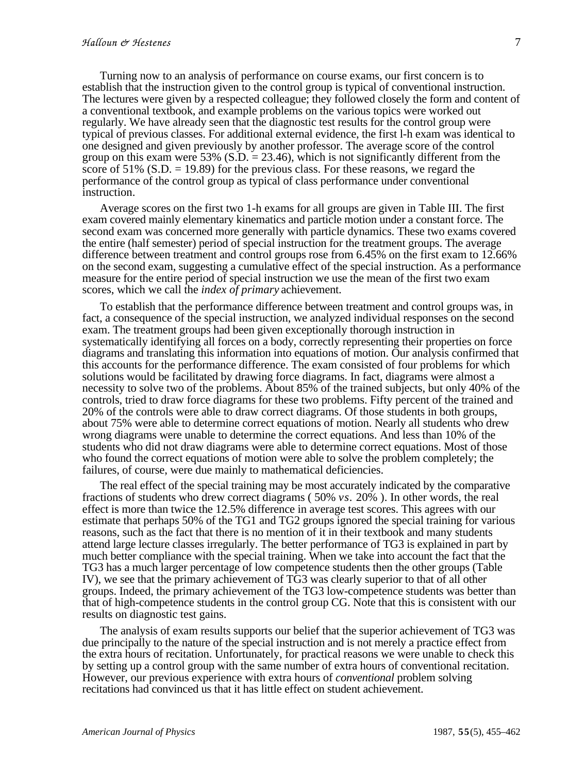Turning now to an analysis of performance on course exams, our first concern is to establish that the instruction given to the control group is typical of conventional instruction. The lectures were given by a respected colleague; they followed closely the form and content of a conventional textbook, and example problems on the various topics were worked out regularly. We have already seen that the diagnostic test results for the control group were typical of previous classes. For additional external evidence, the first l-h exam was identical to one designed and given previously by another professor. The average score of the control group on this exam were  $53\%$  (S.D. = 23.46), which is not significantly different from the score of  $51\%$  (S.D. = 19.89) for the previous class. For these reasons, we regard the performance of the control group as typical of class performance under conventional instruction.

Average scores on the first two 1-h exams for all groups are given in Table III. The first exam covered mainly elementary kinematics and particle motion under a constant force. The second exam was concerned more generally with particle dynamics. These two exams covered the entire (half semester) period of special instruction for the treatment groups. The average difference between treatment and control groups rose from 6.45% on the first exam to 12.66% on the second exam, suggesting a cumulative effect of the special instruction. As a performance measure for the entire period of special instruction we use the mean of the first two exam scores, which we call the *index of primary* achievement.

To establish that the performance difference between treatment and control groups was, in fact, a consequence of the special instruction, we analyzed individual responses on the second exam. The treatment groups had been given exceptionally thorough instruction in systematically identifying all forces on a body, correctly representing their properties on force diagrams and translating this information into equations of motion. Our analysis confirmed that this accounts for the performance difference. The exam consisted of four problems for which solutions would be facilitated by drawing force diagrams. In fact, diagrams were almost a necessity to solve two of the problems. About 85% of the trained subjects, but only 40% of the controls, tried to draw force diagrams for these two problems. Fifty percent of the trained and 20% of the controls were able to draw correct diagrams. Of those students in both groups, about 75% were able to determine correct equations of motion. Nearly all students who drew wrong diagrams were unable to determine the correct equations. And less than 10% of the students who did not draw diagrams were able to determine correct equations. Most of those who found the correct equations of motion were able to solve the problem completely; the failures, of course, were due mainly to mathematical deficiencies.

The real effect of the special training may be most accurately indicated by the comparative fractions of students who drew correct diagrams ( 50% *vs.* 20% ). In other words, the real effect is more than twice the 12.5% difference in average test scores. This agrees with our estimate that perhaps 50% of the TG1 and TG2 groups ignored the special training for various reasons, such as the fact that there is no mention of it in their textbook and many students attend large lecture classes irregularly. The better performance of TG3 is explained in part by much better compliance with the special training. When we take into account the fact that the TG3 has a much larger percentage of low competence students then the other groups (Table IV), we see that the primary achievement of TG3 was clearly superior to that of all other groups. Indeed, the primary achievement of the TG3 low-competence students was better than that of high-competence students in the control group CG. Note that this is consistent with our results on diagnostic test gains.

The analysis of exam results supports our belief that the superior achievement of TG3 was due principally to the nature of the special instruction and is not merely a practice effect from the extra hours of recitation. Unfortunately, for practical reasons we were unable to check this by setting up a control group with the same number of extra hours of conventional recitation. However, our previous experience with extra hours of *conventional* problem solving recitations had convinced us that it has little effect on student achievement.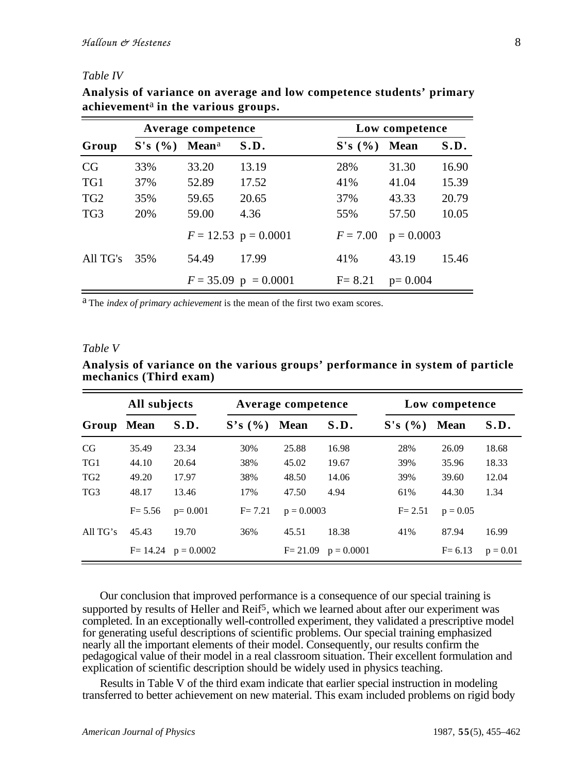#### *Table IV*

|                 |        | Average competence       |                        | Low competence |              |       |  |  |
|-----------------|--------|--------------------------|------------------------|----------------|--------------|-------|--|--|
| Group           | S's(%) | <b>Mean</b> <sup>a</sup> | S.D.                   | S's (%)        | <b>Mean</b>  | S.D.  |  |  |
| CG              | 33%    | 33.20                    | 13.19                  | 28%            | 31.30        | 16.90 |  |  |
| TG1             | 37%    | 52.89                    | 17.52                  | 41%            | 41.04        | 15.39 |  |  |
| TG <sub>2</sub> | 35%    | 59.65                    | 20.65                  | 37%            | 43.33        | 20.79 |  |  |
| TG <sub>3</sub> | 20%    | 59.00                    | 4.36                   | 55%            | 57.50        | 10.05 |  |  |
|                 |        |                          | $F = 12.53$ p = 0.0001 | $F = 7.00$     | $p = 0.0003$ |       |  |  |
| All TG's        | 35%    | 54.49                    | 17.99                  | 41%            | 43.19        | 15.46 |  |  |
|                 |        |                          | $F = 35.09$ p = 0.0001 | $F = 8.21$     | $p=0.004$    |       |  |  |

**Analysis of variance on average and low competence students' primary achievement**a **in the various groups.**

a The *index of primary achievement* is the mean of the first two exam scores.

#### *Table V*

| All subjects    |             |                          |            | Average competence |              | Low competence |             |            |  |
|-----------------|-------------|--------------------------|------------|--------------------|--------------|----------------|-------------|------------|--|
| Group           | <b>Mean</b> | S.D.                     | S's (%)    | <b>Mean</b>        | S.D.         | S's (%)        | <b>Mean</b> | S.D.       |  |
| CG              | 35.49       | 23.34                    | 30%        | 25.88              | 16.98        | 28%            | 26.09       | 18.68      |  |
| TG1             | 44.10       | 20.64                    | 38%        | 45.02              | 19.67        | 39%            | 35.96       | 18.33      |  |
| TG <sub>2</sub> | 49.20       | 17.97                    | 38%        | 48.50              | 14.06        | 39%            | 39.60       | 12.04      |  |
| TG <sub>3</sub> | 48.17       | 13.46                    | 17%        | 47.50              | 4.94         | 61%            | 44.30       | 1.34       |  |
|                 | $F = 5.56$  | $p=0.001$                | $F = 7.21$ | $p = 0.0003$       |              | $F = 2.51$     | $p = 0.05$  |            |  |
| All $TG's$      | 45.43       | 19.70                    | 36%        | 45.51              | 18.38        | 41%            | 87.94       | 16.99      |  |
|                 |             | $F = 14.24$ $p = 0.0002$ |            | $F = 21.09$        | $p = 0.0001$ |                | $F = 6.13$  | $p = 0.01$ |  |

**Analysis of variance on the various groups' performance in system of particle mechanics (Third exam)**

Our conclusion that improved performance is a consequence of our special training is supported by results of Heller and  $\text{Reif}^5$ , which we learned about after our experiment was completed. In an exceptionally well-controlled experiment, they validated a prescriptive model for generating useful descriptions of scientific problems. Our special training emphasized nearly all the important elements of their model. Consequently, our results confirm the pedagogical value of their model in a real classroom situation. Their excellent formulation and explication of scientific description should be widely used in physics teaching.

Results in Table V of the third exam indicate that earlier special instruction in modeling transferred to better achievement on new material. This exam included problems on rigid body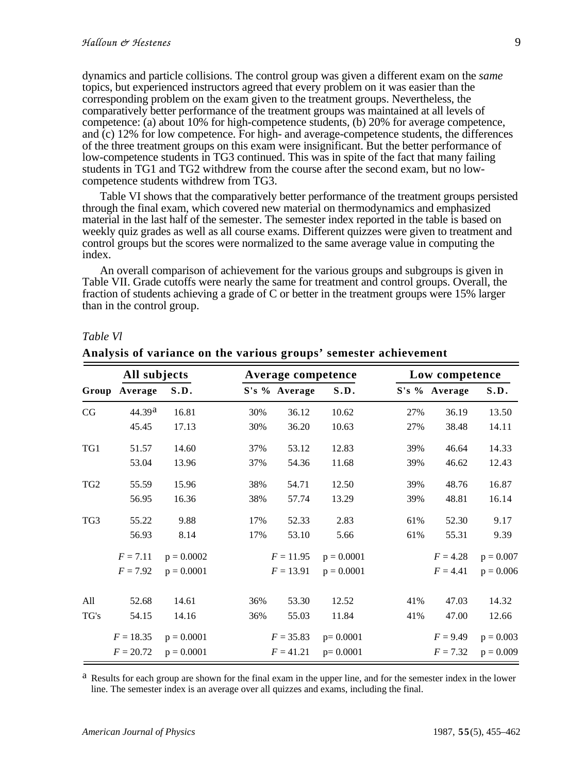dynamics and particle collisions. The control group was given a different exam on the *same* topics, but experienced instructors agreed that every problem on it was easier than the corresponding problem on the exam given to the treatment groups. Nevertheless, the comparatively better performance of the treatment groups was maintained at all levels of competence: (a) about 10% for high-competence students, (b) 20% for average competence, and (c) 12% for low competence. For high- and average-competence students, the differences of the three treatment groups on this exam were insignificant. But the better performance of low-competence students in TG3 continued. This was in spite of the fact that many failing students in TG1 and TG2 withdrew from the course after the second exam, but no lowcompetence students withdrew from TG3.

Table VI shows that the comparatively better performance of the treatment groups persisted through the final exam, which covered new material on thermodynamics and emphasized material in the last half of the semester. The semester index reported in the table is based on weekly quiz grades as well as all course exams. Different quizzes were given to treatment and control groups but the scores were normalized to the same average value in computing the index.

An overall comparison of achievement for the various groups and subgroups is given in Table VII. Grade cutoffs were nearly the same for treatment and control groups. Overall, the fraction of students achieving a grade of C or better in the treatment groups were 15% larger than in the control group.

|                 | All subjects  |              | Average competence |               |              |     | Low competence |             |  |  |
|-----------------|---------------|--------------|--------------------|---------------|--------------|-----|----------------|-------------|--|--|
|                 | Group Average | S.D.         |                    | S's % Average | S.D.         |     | S's % Average  | S.D.        |  |  |
| CG              | 44.39a        | 16.81        | 30%                | 36.12         | 10.62        | 27% | 36.19          | 13.50       |  |  |
|                 | 45.45         | 17.13        | 30%                | 36.20         | 10.63        | 27% | 38.48          | 14.11       |  |  |
| TG1             | 51.57         | 14.60        | 37%                | 53.12         | 12.83        | 39% | 46.64          | 14.33       |  |  |
|                 | 53.04         | 13.96        | 37%                | 54.36         | 11.68        | 39% | 46.62          | 12.43       |  |  |
| TG <sub>2</sub> | 55.59         | 15.96        | 38%                | 54.71         | 12.50        | 39% | 48.76          | 16.87       |  |  |
|                 | 56.95         | 16.36        | 38%                | 57.74         | 13.29        | 39% | 48.81          | 16.14       |  |  |
| TG3             | 55.22         | 9.88         | 17%                | 52.33         | 2.83         | 61% | 52.30          | 9.17        |  |  |
|                 | 56.93         | 8.14         | 17%                | 53.10         | 5.66         | 61% | 55.31          | 9.39        |  |  |
|                 | $F = 7.11$    | $p = 0.0002$ |                    | $F = 11.95$   | $p = 0.0001$ |     | $F = 4.28$     | $p = 0.007$ |  |  |
|                 | $F = 7.92$    | $p = 0.0001$ |                    | $F = 13.91$   | $p = 0.0001$ |     | $F = 4.41$     | $p = 0.006$ |  |  |
| All             | 52.68         | 14.61        | 36%                | 53.30         | 12.52        | 41% | 47.03          | 14.32       |  |  |
| TG's            | 54.15         | 14.16        | 36%                | 55.03         | 11.84        | 41% | 47.00          | 12.66       |  |  |
|                 | $F = 18.35$   | $p = 0.0001$ |                    | $F = 35.83$   | $p=0.0001$   |     | $F = 9.49$     | $p = 0.003$ |  |  |
|                 | $F = 20.72$   | $p = 0.0001$ |                    | $F = 41.21$   | $p=0.0001$   |     | $F = 7.32$     | $p = 0.009$ |  |  |

# *Table Vl*

**Analysis of variance on the various groups' semester achievement**

Results for each group are shown for the final exam in the upper line, and for the semester index in the lower line. The semester index is an average over all quizzes and exams, including the final.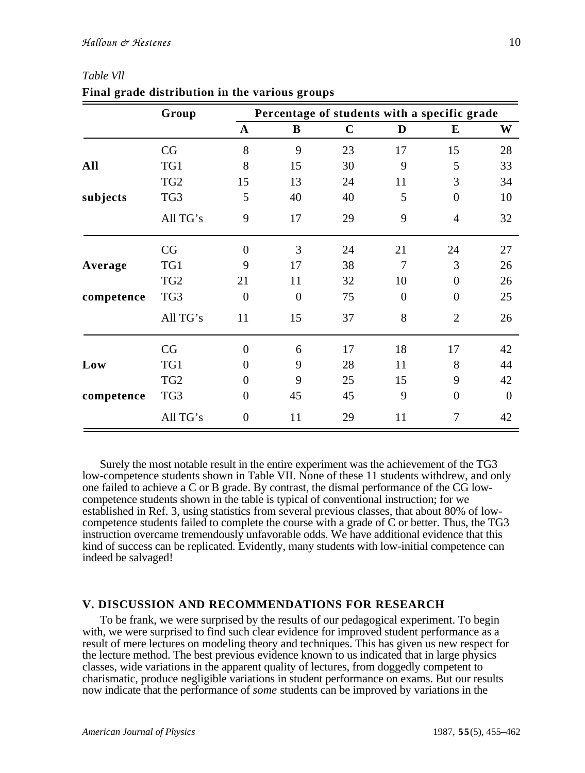|            | Group           |                  | Percentage of students with a specific grade |             |                |                  |          |  |  |  |
|------------|-----------------|------------------|----------------------------------------------|-------------|----------------|------------------|----------|--|--|--|
|            |                 | $\mathbf{A}$     | B                                            | $\mathbf C$ | D              | $\bf{E}$         | W        |  |  |  |
|            | CG              | 8                | 9                                            | 23          | 17             | 15               | 28       |  |  |  |
| All        | TG1             | 8                | 15                                           | 30          | 9              | 5                | 33       |  |  |  |
|            | TG <sub>2</sub> | 15               | 13                                           | 24          | 11             | 3                | 34       |  |  |  |
| subjects   | TG3             | 5                | 40                                           | 40          | 5              | $\boldsymbol{0}$ | 10       |  |  |  |
|            | All TG's        | 9                | 17                                           | 29          | 9              | $\overline{4}$   | 32       |  |  |  |
|            | CG              | $\boldsymbol{0}$ | 3                                            | 24          | 21             | 24               | 27       |  |  |  |
| Average    | TG1             | 9                | 17                                           | 38          | 7              | 3                | 26       |  |  |  |
|            | TG <sub>2</sub> | 21               | 11                                           | 32          | 10             | $\Omega$         | 26       |  |  |  |
| competence | TG3             | $\overline{0}$   | $\overline{0}$                               | 75          | $\overline{0}$ | $\boldsymbol{0}$ | 25       |  |  |  |
|            | All TG's        | 11               | 15                                           | 37          | 8              | $\overline{2}$   | 26       |  |  |  |
|            | CG              | $\boldsymbol{0}$ | 6                                            | 17          | 18             | 17               | 42       |  |  |  |
| Low        | TG1             | $\Omega$         | 9                                            | 28          | 11             | 8                | 44       |  |  |  |
|            | TG <sub>2</sub> | 0                | 9                                            | 25          | 15             | 9                | 42       |  |  |  |
| competence | TG3             | $\boldsymbol{0}$ | 45                                           | 45          | 9              | $\boldsymbol{0}$ | $\theta$ |  |  |  |
|            | All TG's        | $\boldsymbol{0}$ | 11                                           | 29          | 11             | $\overline{7}$   | 42       |  |  |  |

*Table Vll* **Final grade distribution in the various groups**

Surely the most notable result in the entire experiment was the achievement of the TG3 low-competence students shown in Table VII. None of these 11 students withdrew, and only one failed to achieve a C or B grade. By contrast, the dismal performance of the CG lowcompetence students shown in the table is typical of conventional instruction; for we established in Ref. 3, using statistics from several previous classes, that about 80% of lowcompetence students failed to complete the course with a grade of C or better. Thus, the TG3 instruction overcame tremendously unfavorable odds. We have additional evidence that this kind of success can be replicated. Evidently, many students with low-initial competence can indeed be salvaged!

#### **V. DISCUSSION AND RECOMMENDATIONS FOR RESEARCH**

To be frank, we were surprised by the results of our pedagogical experiment. To begin with, we were surprised to find such clear evidence for improved student performance as a result of mere lectures on modeling theory and techniques. This has given us new respect for the lecture method. The best previous evidence known to us indicated that in large physics classes, wide variations in the apparent quality of lectures, from doggedly competent to charismatic, produce negligible variations in student performance on exams. But our results now indicate that the performance of *some* students can be improved by variations in the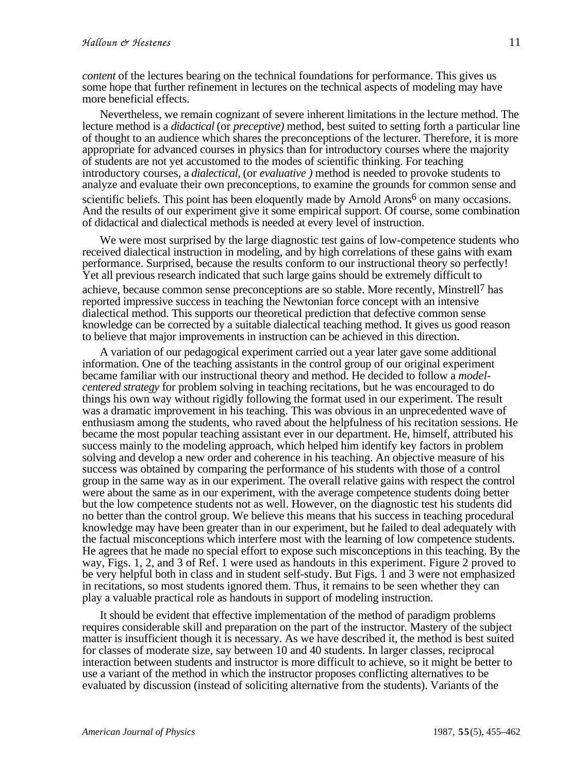*content* of the lectures bearing on the technical foundations for performance. This gives us some hope that further refinement in lectures on the technical aspects of modeling may have more beneficial effects.

Nevertheless, we remain cognizant of severe inherent limitations in the lecture method. The lecture method is a *didactical* (or *preceptive)* method, best suited to setting forth a particular line of thought to an audience which shares the preconceptions of the lecturer. Therefore, it is more appropriate for advanced courses in physics than for introductory courses where the majority of students are not yet accustomed to the modes of scientific thinking. For teaching introductory courses, a *dialectical,* (or *evaluative )* method is needed to provoke students to analyze and evaluate their own preconceptions, to examine the grounds for common sense and scientific beliefs. This point has been eloquently made by Arnold Arons<sup>6</sup> on many occasions. And the results of our experiment give it some empirical support. Of course, some combination of didactical and dialectical methods is needed at every level of instruction.

We were most surprised by the large diagnostic test gains of low-competence students who received dialectical instruction in modeling, and by high correlations of these gains with exam performance. Surprised, because the results conform to our instructional theory so perfectly! Yet all previous research indicated that such large gains should be extremely difficult to achieve, because common sense preconceptions are so stable. More recently, Minstrell7 has reported impressive success in teaching the Newtonian force concept with an intensive dialectical method. This supports our theoretical prediction that defective common sense knowledge can be corrected by a suitable dialectical teaching method. It gives us good reason to believe that major improvements in instruction can be achieved in this direction.

A variation of our pedagogical experiment carried out a year later gave some additional information. One of the teaching assistants in the control group of our original experiment became familiar with our instructional theory and method. He decided to follow a *modelcentered strategy* for problem solving in teaching recitations, but he was encouraged to do things his own way without rigidly following the format used in our experiment. The result was a dramatic improvement in his teaching. This was obvious in an unprecedented wave of enthusiasm among the students, who raved about the helpfulness of his recitation sessions. He became the most popular teaching assistant ever in our department. He, himself, attributed his success mainly to the modeling approach, which helped him identify key factors in problem solving and develop a new order and coherence in his teaching. An objective measure of his success was obtained by comparing the performance of his students with those of a control group in the same way as in our experiment. The overall relative gains with respect the control were about the same as in our experiment, with the average competence students doing better but the low competence students not as well. However, on the diagnostic test his students did no better than the control group. We believe this means that his success in teaching procedural knowledge may have been greater than in our experiment, but he failed to deal adequately with the factual misconceptions which interfere most with the learning of low competence students. He agrees that he made no special effort to expose such misconceptions in this teaching. By the way, Figs. 1, 2, and 3 of Ref. 1 were used as handouts in this experiment. Figure 2 proved to be very helpful both in class and in student self-study. But Figs. 1 and 3 were not emphasized in recitations, so most students ignored them. Thus, it remains to be seen whether they can play a valuable practical role as handouts in support of modeling instruction.

It should be evident that effective implementation of the method of paradigm problems requires considerable skill and preparation on the part of the instructor. Mastery of the subject matter is insufficient though it is necessary. As we have described it, the method is best suited for classes of moderate size, say between 10 and 40 students. In larger classes, reciprocal interaction between students and instructor is more difficult to achieve, so it might be better to use a variant of the method in which the instructor proposes conflicting alternatives to be evaluated by discussion (instead of soliciting alternative from the students). Variants of the